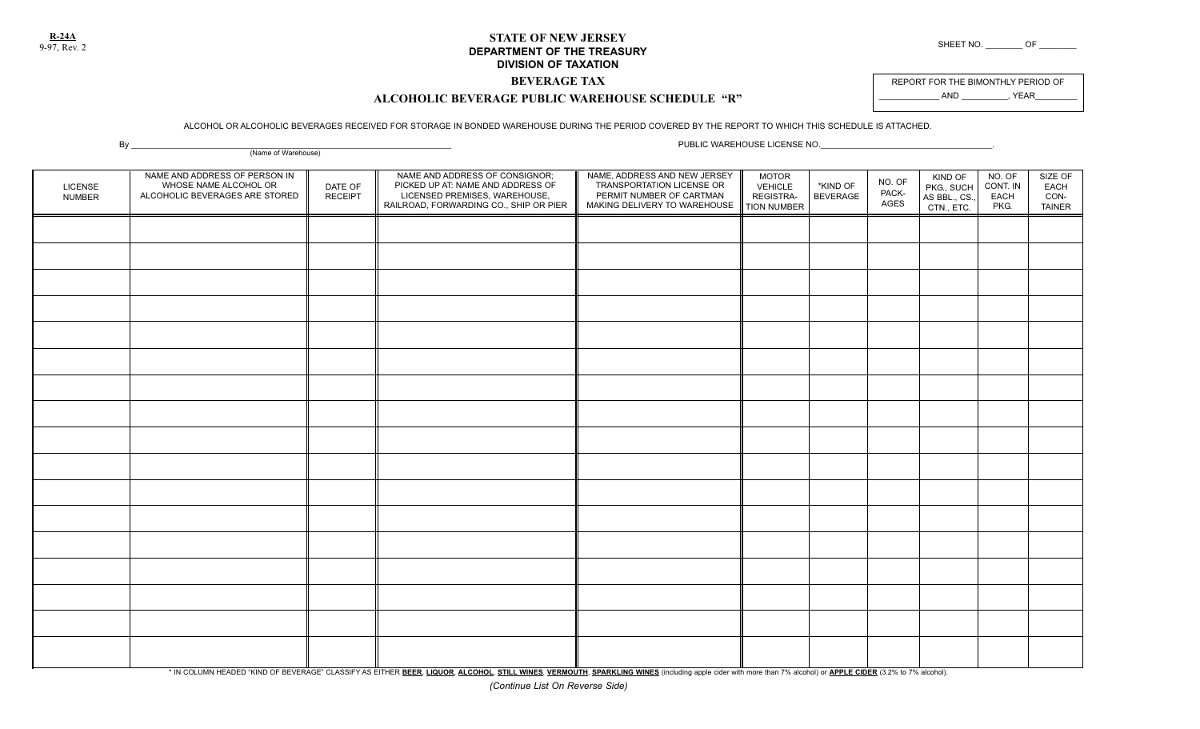**R-24A**

## **STATE OF NEW JERSEY DEPARTMENT OF THE TREASURY** SHEET NO. \_\_\_\_\_\_\_\_ OF \_\_\_\_\_\_\_\_\_\_ OF **DIVISION OF TAXATION**

**BEVERAGE TAX**

REPORT FOR THE BIMONTHLY PERIOD OF AND , YEAR

## **ALCOHOLIC BEVERAGE PUBLIC WAREHOUSE SCHEDULE "R"**

## ALCOHOL OR ALCOHOLIC BEVERAGES RECEIVED FOR STORAGE IN BONDED WAREHOUSE DURING THE PERIOD COVERED BY THE REPORT TO WHICH THIS SCHEDULE IS ATTACHED.

By \_\_\_\_\_\_\_\_\_\_\_\_\_\_\_\_\_\_\_\_\_\_\_\_\_\_\_\_\_\_\_\_\_\_\_\_\_\_\_\_\_\_\_\_\_\_\_\_\_\_\_\_\_\_\_\_\_\_\_\_\_\_\_\_\_\_\_\_\_ PUBLIC WAREHOUSE LICENSE NO.\_\_\_\_\_\_\_\_\_\_\_\_\_\_\_\_\_\_\_\_\_\_\_\_\_\_\_\_\_\_\_\_\_\_\_\_\_.

|                                 | $\mathcal{L}$ , and the set of $\mathcal{L}$<br>(Name of Warehouse)                      |                           |                                                                                                                                                |                                                                                                                       |                                                            |                             |                         |                                                      |                                    |                                          |
|---------------------------------|------------------------------------------------------------------------------------------|---------------------------|------------------------------------------------------------------------------------------------------------------------------------------------|-----------------------------------------------------------------------------------------------------------------------|------------------------------------------------------------|-----------------------------|-------------------------|------------------------------------------------------|------------------------------------|------------------------------------------|
| <b>LICENSE</b><br><b>NUMBER</b> | NAME AND ADDRESS OF PERSON IN<br>WHOSE NAME ALCOHOL OR<br>ALCOHOLIC BEVERAGES ARE STORED | DATE OF<br><b>RECEIPT</b> | NAME AND ADDRESS OF CONSIGNOR;<br>PICKED UP AT: NAME AND ADDRESS OF<br>LICENSED PREMISES, WAREHOUSE,<br>RAILROAD, FORWARDING CO., SHIP OR PIER | NAME, ADDRESS AND NEW JERSEY<br>TRANSPORTATION LICENSE OR<br>PERMIT NUMBER OF CARTMAN<br>MAKING DELIVERY TO WAREHOUSE | <b>MOTOR</b><br>VEHICLE<br>REGISTRA-<br><b>TION NUMBER</b> | *KIND OF<br><b>BEVERAGE</b> | NO. OF<br>PACK-<br>AGES | KIND OF<br>PKG., SUCH<br>AS BBL., CS.,<br>CTN., ETC. | NO. OF<br>CONT. IN<br>EACH<br>PKG. | SIZE OF<br><b>EACH</b><br>CON-<br>TAINER |
|                                 |                                                                                          |                           |                                                                                                                                                |                                                                                                                       |                                                            |                             |                         |                                                      |                                    |                                          |
|                                 |                                                                                          |                           |                                                                                                                                                |                                                                                                                       |                                                            |                             |                         |                                                      |                                    |                                          |
|                                 |                                                                                          |                           |                                                                                                                                                |                                                                                                                       |                                                            |                             |                         |                                                      |                                    |                                          |
|                                 |                                                                                          |                           |                                                                                                                                                |                                                                                                                       |                                                            |                             |                         |                                                      |                                    |                                          |
|                                 |                                                                                          |                           |                                                                                                                                                |                                                                                                                       |                                                            |                             |                         |                                                      |                                    |                                          |
|                                 |                                                                                          |                           |                                                                                                                                                |                                                                                                                       |                                                            |                             |                         |                                                      |                                    |                                          |
|                                 |                                                                                          |                           |                                                                                                                                                |                                                                                                                       |                                                            |                             |                         |                                                      |                                    |                                          |
|                                 |                                                                                          |                           |                                                                                                                                                |                                                                                                                       |                                                            |                             |                         |                                                      |                                    |                                          |
|                                 |                                                                                          |                           |                                                                                                                                                |                                                                                                                       |                                                            |                             |                         |                                                      |                                    |                                          |
|                                 |                                                                                          |                           |                                                                                                                                                |                                                                                                                       |                                                            |                             |                         |                                                      |                                    |                                          |
|                                 |                                                                                          |                           |                                                                                                                                                |                                                                                                                       |                                                            |                             |                         |                                                      |                                    |                                          |
|                                 |                                                                                          |                           |                                                                                                                                                |                                                                                                                       |                                                            |                             |                         |                                                      |                                    |                                          |
|                                 |                                                                                          |                           |                                                                                                                                                |                                                                                                                       |                                                            |                             |                         |                                                      |                                    |                                          |
|                                 |                                                                                          |                           |                                                                                                                                                |                                                                                                                       |                                                            |                             |                         |                                                      |                                    |                                          |
|                                 |                                                                                          |                           |                                                                                                                                                |                                                                                                                       |                                                            |                             |                         |                                                      |                                    |                                          |
|                                 |                                                                                          |                           |                                                                                                                                                |                                                                                                                       |                                                            |                             |                         |                                                      |                                    |                                          |
|                                 |                                                                                          |                           |                                                                                                                                                |                                                                                                                       |                                                            |                             |                         |                                                      |                                    |                                          |

\* IN COLUMN HEADED "KIND OF BEVERAGE" CLASSIFY AS EITHER BEER, LIQUOR, ALCOHOL, STILL WINES, VERMOUTH, SPARKLING WINES (including apple cider with more than 7% alcohol) or APPLE CIDER (3.2% to 7% alcohol).